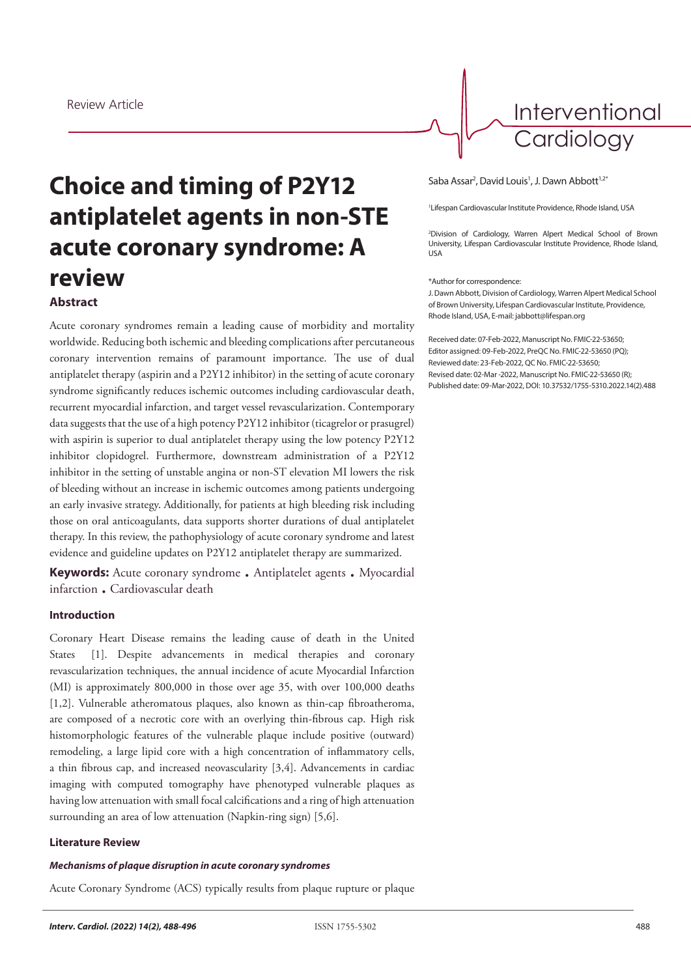Interventional **Cardiology** 

# **Choice and timing of P2Y12 antiplatelet agents in non-STE acute coronary syndrome: A review Abstract**

Acute coronary syndromes remain a leading cause of morbidity and mortality worldwide. Reducing both ischemic and bleeding complications after percutaneous coronary intervention remains of paramount importance. The use of dual antiplatelet therapy (aspirin and a P2Y12 inhibitor) in the setting of acute coronary syndrome significantly reduces ischemic outcomes including cardiovascular death, recurrent myocardial infarction, and target vessel revascularization. Contemporary data suggests that the use of a high potency P2Y12 inhibitor (ticagrelor or prasugrel) with aspirin is superior to dual antiplatelet therapy using the low potency P2Y12 inhibitor clopidogrel. Furthermore, downstream administration of a P2Y12 inhibitor in the setting of unstable angina or non-ST elevation MI lowers the risk of bleeding without an increase in ischemic outcomes among patients undergoing an early invasive strategy. Additionally, for patients at high bleeding risk including those on oral anticoagulants, data supports shorter durations of dual antiplatelet therapy. In this review, the pathophysiology of acute coronary syndrome and latest evidence and guideline updates on P2Y12 antiplatelet therapy are summarized.

**Keywords:** Acute coronary syndrome . Antiplatelet agents . Myocardial infarction . Cardiovascular death

# **Introduction**

Coronary Heart Disease remains the leading cause of death in the United States [1]. Despite advancements in medical therapies and coronary revascularization techniques, the annual incidence of acute Myocardial Infarction (MI) is approximately 800,000 in those over age 35, with over 100,000 deaths [1,2]. Vulnerable atheromatous plaques, also known as thin-cap fibroatheroma, are composed of a necrotic core with an overlying thin-fibrous cap. High risk histomorphologic features of the vulnerable plaque include positive (outward) remodeling, a large lipid core with a high concentration of inflammatory cells, a thin fibrous cap, and increased neovascularity [3,4]. Advancements in cardiac imaging with computed tomography have phenotyped vulnerable plaques as having low attenuation with small focal calcifications and a ring of high attenuation surrounding an area of low attenuation (Napkin-ring sign) [5,6].

### **Literature Review**

#### *Mechanisms of plaque disruption in acute coronary syndromes*

Acute Coronary Syndrome (ACS) typically results from plaque rupture or plaque

#### Saba Assar<sup>2</sup>, David Louis<sup>1</sup>, J. Dawn Abbott<sup>1,2\*</sup>

1 Lifespan Cardiovascular Institute Providence, Rhode Island, USA

2 Division of Cardiology, Warren Alpert Medical School of Brown University, Lifespan Cardiovascular Institute Providence, Rhode Island, USA

#### \*Author for correspondence:

J. Dawn Abbott, Division of Cardiology, Warren Alpert Medical School of Brown University, Lifespan Cardiovascular Institute, Providence, Rhode Island, USA, E-mail: jabbott@lifespan.org

Received date: 07-Feb-2022, Manuscript No. FMIC-22-53650; Editor assigned: 09-Feb-2022, PreQC No. FMIC-22-53650 (PQ); Reviewed date: 23-Feb-2022, QC No. FMIC-22-53650; Revised date: 02-Mar -2022, Manuscript No. FMIC-22-53650 (R); Published date: 09-Mar-2022, DOI: 10.37532/1755-5310.2022.14(2).488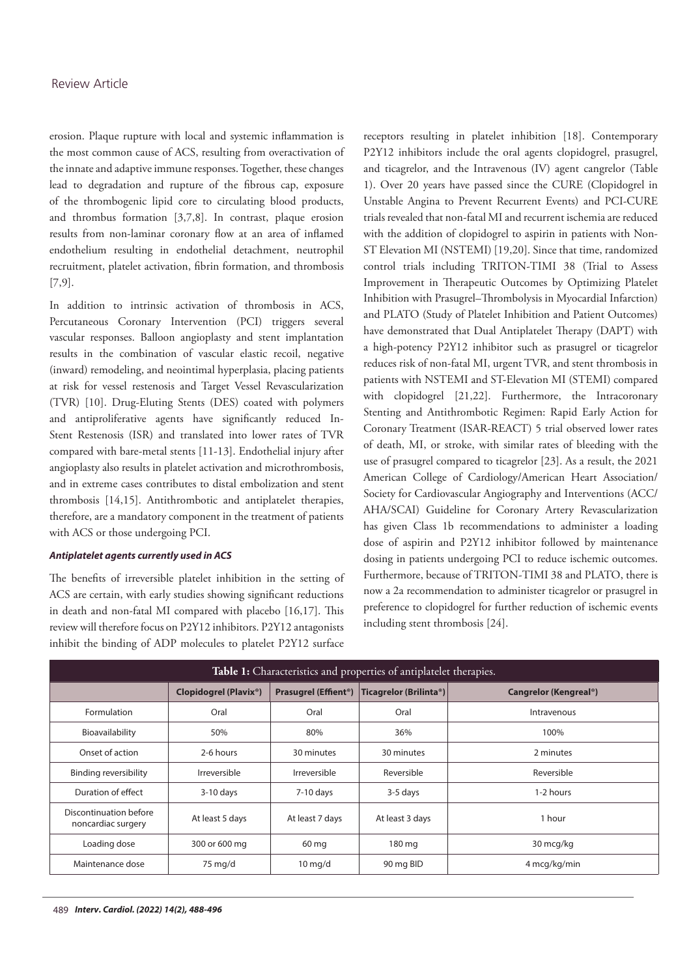erosion. Plaque rupture with local and systemic inflammation is the most common cause of ACS, resulting from overactivation of the innate and adaptive immune responses. Together, these changes lead to degradation and rupture of the fibrous cap, exposure of the thrombogenic lipid core to circulating blood products, and thrombus formation [3,7,8]. In contrast, plaque erosion results from non-laminar coronary flow at an area of inflamed endothelium resulting in endothelial detachment, neutrophil recruitment, platelet activation, fibrin formation, and thrombosis [7,9].

In addition to intrinsic activation of thrombosis in ACS, Percutaneous Coronary Intervention (PCI) triggers several vascular responses. Balloon angioplasty and stent implantation results in the combination of vascular elastic recoil, negative (inward) remodeling, and neointimal hyperplasia, placing patients at risk for vessel restenosis and Target Vessel Revascularization (TVR) [10]. Drug-Eluting Stents (DES) coated with polymers and antiproliferative agents have significantly reduced In-Stent Restenosis (ISR) and translated into lower rates of TVR compared with bare-metal stents [11-13]. Endothelial injury after angioplasty also results in platelet activation and microthrombosis, and in extreme cases contributes to distal embolization and stent thrombosis [14,15]. Antithrombotic and antiplatelet therapies, therefore, are a mandatory component in the treatment of patients with ACS or those undergoing PCI.

## *Antiplatelet agents currently used in ACS*

The benefits of irreversible platelet inhibition in the setting of ACS are certain, with early studies showing significant reductions in death and non-fatal MI compared with placebo [16,17]. This review will therefore focus on P2Y12 inhibitors. P2Y12 antagonists inhibit the binding of ADP molecules to platelet P2Y12 surface

receptors resulting in platelet inhibition [18]. Contemporary P2Y12 inhibitors include the oral agents clopidogrel, prasugrel, and ticagrelor, and the Intravenous (IV) agent cangrelor (Table 1). Over 20 years have passed since the CURE (Clopidogrel in Unstable Angina to Prevent Recurrent Events) and PCI-CURE trials revealed that non-fatal MI and recurrent ischemia are reduced with the addition of clopidogrel to aspirin in patients with Non-ST Elevation MI (NSTEMI) [19,20]. Since that time, randomized control trials including TRITON-TIMI 38 (Trial to Assess Improvement in Therapeutic Outcomes by Optimizing Platelet Inhibition with Prasugrel–Thrombolysis in Myocardial Infarction) and PLATO (Study of Platelet Inhibition and Patient Outcomes) have demonstrated that Dual Antiplatelet Therapy (DAPT) with a high-potency P2Y12 inhibitor such as prasugrel or ticagrelor reduces risk of non-fatal MI, urgent TVR, and stent thrombosis in patients with NSTEMI and ST-Elevation MI (STEMI) compared with clopidogrel [21,22]. Furthermore, the Intracoronary Stenting and Antithrombotic Regimen: Rapid Early Action for Coronary Treatment (ISAR-REACT) 5 trial observed lower rates of death, MI, or stroke, with similar rates of bleeding with the use of prasugrel compared to ticagrelor [23]. As a result, the 2021 American College of Cardiology/American Heart Association/ Society for Cardiovascular Angiography and Interventions (ACC/ AHA/SCAI) Guideline for Coronary Artery Revascularization has given Class 1b recommendations to administer a loading dose of aspirin and P2Y12 inhibitor followed by maintenance dosing in patients undergoing PCI to reduce ischemic outcomes. Furthermore, because of TRITON-TIMI 38 and PLATO, there is now a 2a recommendation to administer ticagrelor or prasugrel in preference to clopidogrel for further reduction of ischemic events including stent thrombosis [24].

| Table 1: Characteristics and properties of antiplatelet therapies. |                                    |                                        |                                     |                                    |  |
|--------------------------------------------------------------------|------------------------------------|----------------------------------------|-------------------------------------|------------------------------------|--|
|                                                                    | Clopidogrel (Plavix <sup>®</sup> ) | <b>Prasugrel (Effient<sup>®</sup>)</b> | Ticagrelor (Brilinta <sup>®</sup> ) | Cangrelor (Kengreal <sup>®</sup> ) |  |
| Formulation                                                        | Oral                               | Oral                                   | Oral                                | Intravenous                        |  |
| Bioavailability                                                    | 50%                                | 80%                                    | 36%                                 | 100%                               |  |
| Onset of action                                                    | 2-6 hours                          | 30 minutes                             | 30 minutes                          | 2 minutes                          |  |
| <b>Binding reversibility</b>                                       | Irreversible                       | Irreversible                           | Reversible                          | Reversible                         |  |
| Duration of effect                                                 | $3-10$ days                        | $7-10$ days                            | 3-5 days                            | 1-2 hours                          |  |
| Discontinuation before<br>noncardiac surgery                       | At least 5 days                    | At least 7 days                        | At least 3 days                     | 1 hour                             |  |
| Loading dose                                                       | 300 or 600 mg                      | 60 mg                                  | 180 mg                              | 30 mcg/kg                          |  |
| Maintenance dose                                                   | 75 mg/d                            | $10 \,\mathrm{mq/d}$                   | 90 mg BID                           | 4 mcg/kg/min                       |  |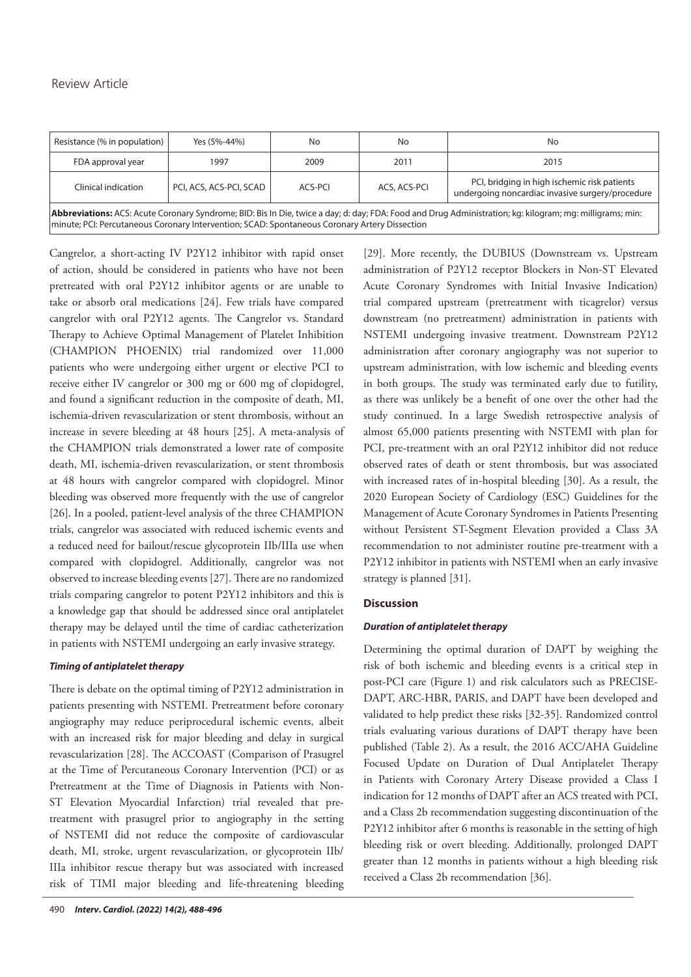| Resistance (% in population) | Yes (5%-44%)            | No      | No           | No                                                                                               |
|------------------------------|-------------------------|---------|--------------|--------------------------------------------------------------------------------------------------|
| FDA approval year            | 1997                    | 2009    | 2011         | 2015                                                                                             |
| Clinical indication          | PCI, ACS, ACS-PCI, SCAD | ACS-PCI | ACS, ACS-PCI | PCI, bridging in high ischemic risk patients<br>undergoing noncardiac invasive surgery/procedure |
|                              |                         |         |              |                                                                                                  |

**Abbreviations:** ACS: Acute Coronary Syndrome; BID: Bis In Die, twice a day; d: day; FDA: Food and Drug Administration; kg: kilogram; mg: milligrams; min: minute; PCI: Percutaneous Coronary Intervention; SCAD: Spontaneous Coronary Artery Dissection

Cangrelor, a short-acting IV P2Y12 inhibitor with rapid onset of action, should be considered in patients who have not been pretreated with oral P2Y12 inhibitor agents or are unable to take or absorb oral medications [24]. Few trials have compared cangrelor with oral P2Y12 agents. The Cangrelor vs. Standard Therapy to Achieve Optimal Management of Platelet Inhibition (CHAMPION PHOENIX) trial randomized over 11,000 patients who were undergoing either urgent or elective PCI to receive either IV cangrelor or 300 mg or 600 mg of clopidogrel, and found a significant reduction in the composite of death, MI, ischemia-driven revascularization or stent thrombosis, without an increase in severe bleeding at 48 hours [25]. A meta-analysis of the CHAMPION trials demonstrated a lower rate of composite death, MI, ischemia-driven revascularization, or stent thrombosis at 48 hours with cangrelor compared with clopidogrel. Minor bleeding was observed more frequently with the use of cangrelor [26]. In a pooled, patient-level analysis of the three CHAMPION trials, cangrelor was associated with reduced ischemic events and a reduced need for bailout/rescue glycoprotein IIb/IIIa use when compared with clopidogrel. Additionally, cangrelor was not observed to increase bleeding events [27]. There are no randomized trials comparing cangrelor to potent P2Y12 inhibitors and this is a knowledge gap that should be addressed since oral antiplatelet therapy may be delayed until the time of cardiac catheterization in patients with NSTEMI undergoing an early invasive strategy.

## *Timing of antiplatelet therapy*

There is debate on the optimal timing of P2Y12 administration in patients presenting with NSTEMI. Pretreatment before coronary angiography may reduce periprocedural ischemic events, albeit with an increased risk for major bleeding and delay in surgical revascularization [28]. The ACCOAST (Comparison of Prasugrel at the Time of Percutaneous Coronary Intervention (PCI) or as Pretreatment at the Time of Diagnosis in Patients with Non-ST Elevation Myocardial Infarction) trial revealed that pretreatment with prasugrel prior to angiography in the setting of NSTEMI did not reduce the composite of cardiovascular death, MI, stroke, urgent revascularization, or glycoprotein IIb/ IIIa inhibitor rescue therapy but was associated with increased risk of TIMI major bleeding and life-threatening bleeding

[29]. More recently, the DUBIUS (Downstream vs. Upstream administration of P2Y12 receptor Blockers in Non-ST Elevated Acute Coronary Syndromes with Initial Invasive Indication) trial compared upstream (pretreatment with ticagrelor) versus downstream (no pretreatment) administration in patients with NSTEMI undergoing invasive treatment. Downstream P2Y12 administration after coronary angiography was not superior to upstream administration, with low ischemic and bleeding events in both groups. The study was terminated early due to futility, as there was unlikely be a benefit of one over the other had the study continued. In a large Swedish retrospective analysis of almost 65,000 patients presenting with NSTEMI with plan for PCI, pre-treatment with an oral P2Y12 inhibitor did not reduce observed rates of death or stent thrombosis, but was associated with increased rates of in-hospital bleeding [30]. As a result, the 2020 European Society of Cardiology (ESC) Guidelines for the Management of Acute Coronary Syndromes in Patients Presenting without Persistent ST-Segment Elevation provided a Class 3A recommendation to not administer routine pre-treatment with a P2Y12 inhibitor in patients with NSTEMI when an early invasive strategy is planned [31].

# **Discussion**

## *Duration of antiplatelet therapy*

Determining the optimal duration of DAPT by weighing the risk of both ischemic and bleeding events is a critical step in post-PCI care (Figure 1) and risk calculators such as PRECISE-DAPT, ARC-HBR, PARIS, and DAPT have been developed and validated to help predict these risks [32-35]. Randomized control trials evaluating various durations of DAPT therapy have been published (Table 2). As a result, the 2016 ACC/AHA Guideline Focused Update on Duration of Dual Antiplatelet Therapy in Patients with Coronary Artery Disease provided a Class I indication for 12 months of DAPT after an ACS treated with PCI, and a Class 2b recommendation suggesting discontinuation of the P2Y12 inhibitor after 6 months is reasonable in the setting of high bleeding risk or overt bleeding. Additionally, prolonged DAPT greater than 12 months in patients without a high bleeding risk received a Class 2b recommendation [36].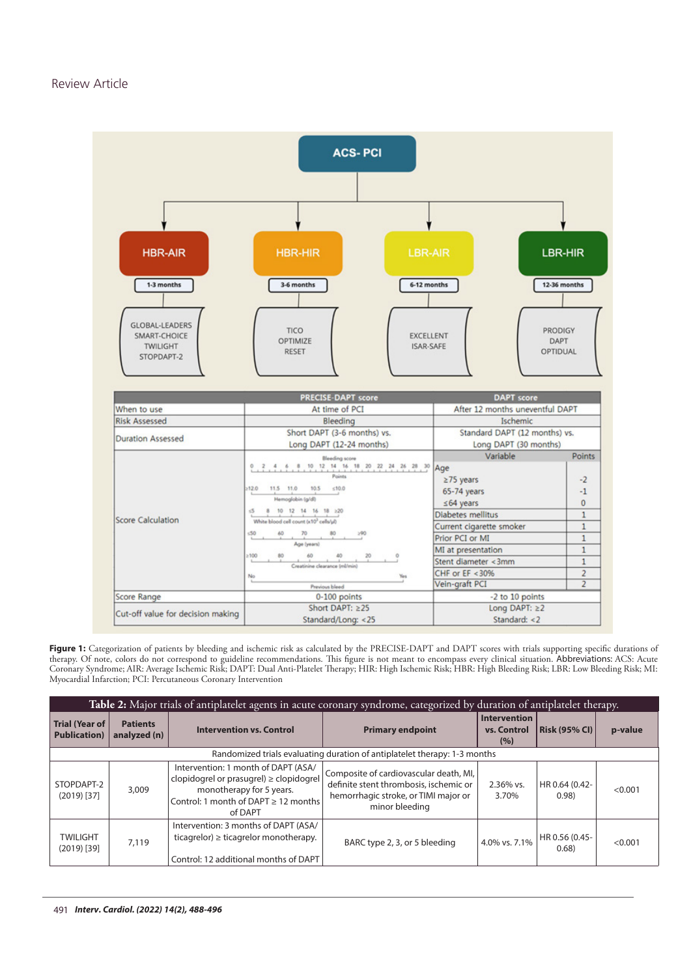

Figure 1: Categorization of patients by bleeding and ischemic risk as calculated by the PRECISE-DAPT and DAPT scores with trials supporting specific durations of therapy. Of note, colors do not correspond to guideline recommendations. This figure is not meant to encompass every clinical situation. Abbreviations: ACS: Acute Coronary Syndrome; AIR: Average Ischemic Risk; DAPT: Dual Anti-Platelet Therapy; HIR: High Ischemic Risk; HBR: High Bleeding Risk; LBR: Low Bleeding Risk; MI: Myocardial Infarction; PCI: Percutaneous Coronary Intervention

| Table 2: Major trials of antiplatelet agents in acute coronary syndrome, categorized by duration of antiplatelet therapy. |                                 |                                                                                                                                                                         |                                                                                                                                            |                                           |                         |         |  |  |
|---------------------------------------------------------------------------------------------------------------------------|---------------------------------|-------------------------------------------------------------------------------------------------------------------------------------------------------------------------|--------------------------------------------------------------------------------------------------------------------------------------------|-------------------------------------------|-------------------------|---------|--|--|
| <b>Trial (Year of</b><br><b>Publication</b> )                                                                             | <b>Patients</b><br>analyzed (n) | <b>Intervention vs. Control</b>                                                                                                                                         | <b>Primary endpoint</b>                                                                                                                    | <b>Intervention</b><br>vs. Control<br>(%) | <b>Risk (95% CI)</b>    | p-value |  |  |
| Randomized trials evaluating duration of antiplatelet therapy: 1-3 months                                                 |                                 |                                                                                                                                                                         |                                                                                                                                            |                                           |                         |         |  |  |
| STOPDAPT-2<br>$(2019)$ [37]                                                                                               | 3,009                           | Intervention: 1 month of DAPT (ASA/<br>clopidogrel or prasugrel) $\geq$ clopidogrel<br>monotherapy for 5 years.<br>Control: 1 month of DAPT $\geq$ 12 months<br>of DAPT | Composite of cardiovascular death, MI,<br>definite stent thrombosis, ischemic or<br>hemorrhagic stroke, or TIMI major or<br>minor bleeding | 2.36% vs.<br>3.70%                        | HR 0.64 (0.42-<br>0.98) | < 0.001 |  |  |
| <b>TWILIGHT</b><br>$(2019)$ [39]                                                                                          | 7,119                           | Intervention: 3 months of DAPT (ASA/<br>ticagrelor) $\geq$ ticagrelor monotherapy.<br>Control: 12 additional months of DAPT                                             | BARC type 2, 3, or 5 bleeding                                                                                                              | 4.0% vs. 7.1%                             | HR 0.56 (0.45-<br>0.68) | < 0.001 |  |  |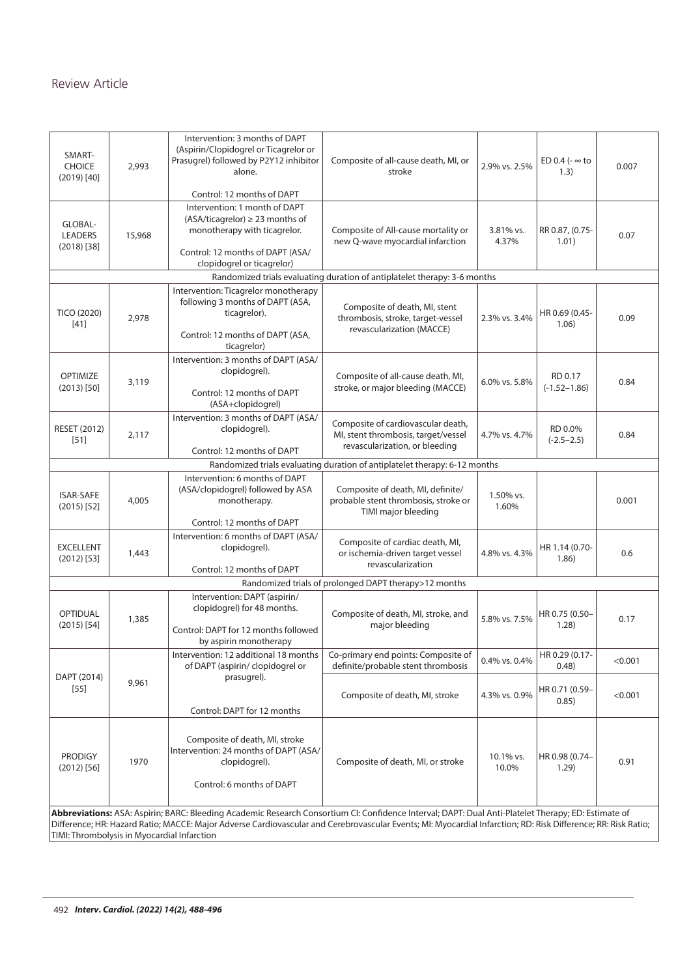| SMART-<br><b>CHOICE</b><br>$(2019)$ [40]    | 2,993                                                                     | Intervention: 3 months of DAPT<br>(Aspirin/Clopidogrel or Ticagrelor or<br>Prasugrel) followed by P2Y12 inhibitor<br>alone.                                                                                                                                                                                          | Composite of all-cause death, MI, or<br>stroke                                                              | 2.9% vs. 2.5%      | ED 0.4 ( $\sim$ to<br>(1.3) | 0.007   |  |  |  |
|---------------------------------------------|---------------------------------------------------------------------------|----------------------------------------------------------------------------------------------------------------------------------------------------------------------------------------------------------------------------------------------------------------------------------------------------------------------|-------------------------------------------------------------------------------------------------------------|--------------------|-----------------------------|---------|--|--|--|
| GLOBAL-<br><b>LEADERS</b><br>$(2018)$ [38]  | 15,968                                                                    | Control: 12 months of DAPT<br>Intervention: 1 month of DAPT<br>$(ASA/ticagrelor) \geq 23$ months of<br>monotherapy with ticagrelor.<br>Control: 12 months of DAPT (ASA/<br>clopidogrel or ticagrelor)                                                                                                                | Composite of All-cause mortality or<br>new Q-wave myocardial infarction                                     | 3.81% vs.<br>4.37% | RR 0.87, (0.75-<br>1.01)    | 0.07    |  |  |  |
|                                             | Randomized trials evaluating duration of antiplatelet therapy: 3-6 months |                                                                                                                                                                                                                                                                                                                      |                                                                                                             |                    |                             |         |  |  |  |
| <b>TICO (2020)</b><br>$[41]$                | 2,978                                                                     | Intervention: Ticagrelor monotherapy<br>following 3 months of DAPT (ASA,<br>ticagrelor).<br>Control: 12 months of DAPT (ASA,<br>ticagrelor)                                                                                                                                                                          | Composite of death, MI, stent<br>thrombosis, stroke, target-vessel<br>revascularization (MACCE)             | 2.3% vs. 3.4%      | HR 0.69 (0.45-<br>1.06)     | 0.09    |  |  |  |
| <b>OPTIMIZE</b><br>$(2013)$ [50]            | 3,119                                                                     | Intervention: 3 months of DAPT (ASA/<br>clopidogrel).<br>Control: 12 months of DAPT<br>(ASA+clopidogrel)                                                                                                                                                                                                             | Composite of all-cause death, MI,<br>stroke, or major bleeding (MACCE)                                      | 6.0% vs. 5.8%      | RD 0.17<br>$(-1.52 - 1.86)$ | 0.84    |  |  |  |
| <b>RESET (2012)</b><br>$[51]$               | 2,117                                                                     | Intervention: 3 months of DAPT (ASA/<br>clopidogrel).<br>Control: 12 months of DAPT                                                                                                                                                                                                                                  | Composite of cardiovascular death,<br>MI, stent thrombosis, target/vessel<br>revascularization, or bleeding | 4.7% vs. 4.7%      | RD 0.0%<br>$(-2.5 - 2.5)$   | 0.84    |  |  |  |
|                                             |                                                                           |                                                                                                                                                                                                                                                                                                                      | Randomized trials evaluating duration of antiplatelet therapy: 6-12 months                                  |                    |                             |         |  |  |  |
| <b>ISAR-SAFE</b><br>$(2015)$ [52]           | 4,005                                                                     | Intervention: 6 months of DAPT<br>(ASA/clopidogrel) followed by ASA<br>monotherapy.                                                                                                                                                                                                                                  | Composite of death, MI, definite/<br>probable stent thrombosis, stroke or<br>TIMI major bleeding            | 1.50% vs.<br>1.60% |                             | 0.001   |  |  |  |
| <b>EXCELLENT</b><br>$(2012)$ [53]           | 1,443                                                                     | Control: 12 months of DAPT<br>Intervention: 6 months of DAPT (ASA/<br>clopidogrel).<br>Control: 12 months of DAPT                                                                                                                                                                                                    | Composite of cardiac death, MI,<br>or ischemia-driven target vessel<br>revascularization                    | 4.8% vs. 4.3%      | HR 1.14 (0.70-<br>1.86)     | 0.6     |  |  |  |
|                                             |                                                                           |                                                                                                                                                                                                                                                                                                                      | Randomized trials of prolonged DAPT therapy>12 months                                                       |                    |                             |         |  |  |  |
| <b>OPTIDUAL</b><br>$(2015)$ [54]            | 1,385                                                                     | Intervention: DAPT (aspirin/<br>clopidogrel) for 48 months.<br>Control: DAPT for 12 months followed<br>by aspirin monotherapy                                                                                                                                                                                        | Composite of death, MI, stroke, and<br>maior bleeding                                                       | 5.8% vs. 7.5%      | HR 0.75 (0.50-<br>1.28)     | 0.17    |  |  |  |
|                                             |                                                                           | Intervention: 12 additional 18 months<br>of DAPT (aspirin/ clopidogrel or                                                                                                                                                                                                                                            | Co-primary end points: Composite of<br>definite/probable stent thrombosis                                   | 0.4% vs. 0.4%      | HR 0.29 (0.17-<br>0.48)     | < 0.001 |  |  |  |
| DAPT (2014)<br>$[55]$                       | 9,961                                                                     | prasugrel).<br>Control: DAPT for 12 months                                                                                                                                                                                                                                                                           | Composite of death, MI, stroke                                                                              | 4.3% vs. 0.9%      | HR 0.71 (0.59-<br>0.85)     | < 0.001 |  |  |  |
| <b>PRODIGY</b><br>$(2012)$ [56]             | 1970                                                                      | Composite of death, MI, stroke<br>Intervention: 24 months of DAPT (ASA/<br>clopidogrel).<br>Control: 6 months of DAPT                                                                                                                                                                                                | Composite of death, MI, or stroke                                                                           | 10.1% vs.<br>10.0% | HR 0.98 (0.74-<br>1.29)     | 0.91    |  |  |  |
| TIMI: Thrombolysis in Myocardial Infarction |                                                                           | Abbreviations: ASA: Aspirin; BARC: Bleeding Academic Research Consortium CI: Confidence Interval; DAPT: Dual Anti-Platelet Therapy; ED: Estimate of<br>Difference; HR: Hazard Ratio; MACCE: Major Adverse Cardiovascular and Cerebrovascular Events; MI: Myocardial Infarction; RD: Risk Difference; RR: Risk Ratio; |                                                                                                             |                    |                             |         |  |  |  |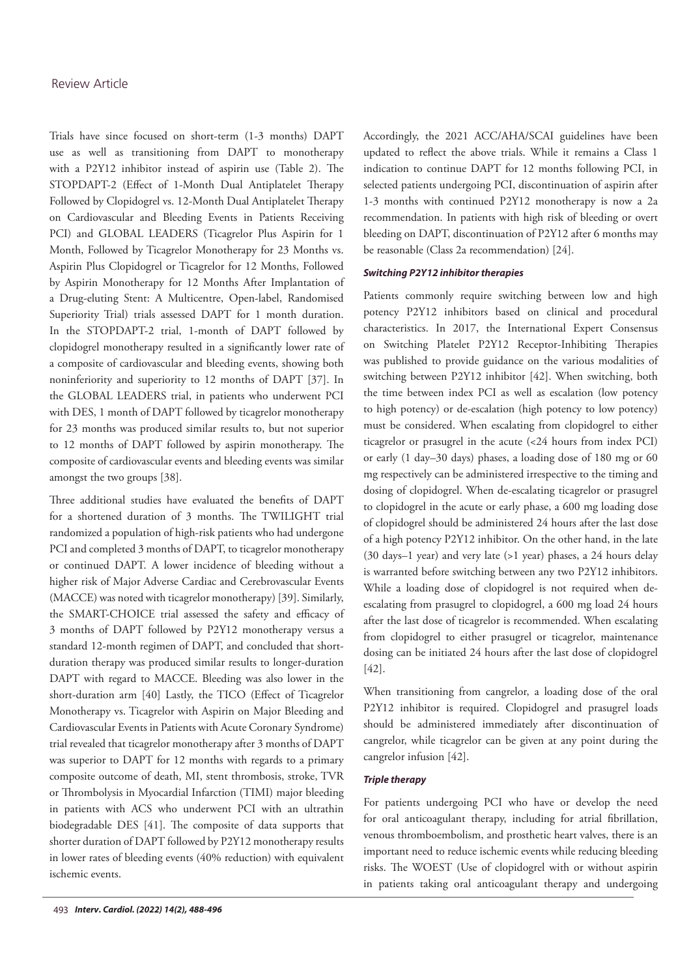Trials have since focused on short-term (1-3 months) DAPT use as well as transitioning from DAPT to monotherapy with a P2Y12 inhibitor instead of aspirin use (Table 2). The STOPDAPT-2 (Effect of 1-Month Dual Antiplatelet Therapy Followed by Clopidogrel vs. 12-Month Dual Antiplatelet Therapy on Cardiovascular and Bleeding Events in Patients Receiving PCI) and GLOBAL LEADERS (Ticagrelor Plus Aspirin for 1 Month, Followed by Ticagrelor Monotherapy for 23 Months vs. Aspirin Plus Clopidogrel or Ticagrelor for 12 Months, Followed by Aspirin Monotherapy for 12 Months After Implantation of a Drug-eluting Stent: A Multicentre, Open-label, Randomised Superiority Trial) trials assessed DAPT for 1 month duration. In the STOPDAPT-2 trial, 1-month of DAPT followed by clopidogrel monotherapy resulted in a significantly lower rate of a composite of cardiovascular and bleeding events, showing both noninferiority and superiority to 12 months of DAPT [37]. In the GLOBAL LEADERS trial, in patients who underwent PCI with DES, 1 month of DAPT followed by ticagrelor monotherapy for 23 months was produced similar results to, but not superior to 12 months of DAPT followed by aspirin monotherapy. The composite of cardiovascular events and bleeding events was similar amongst the two groups [38].

Three additional studies have evaluated the benefits of DAPT for a shortened duration of 3 months. The TWILIGHT trial randomized a population of high-risk patients who had undergone PCI and completed 3 months of DAPT, to ticagrelor monotherapy or continued DAPT. A lower incidence of bleeding without a higher risk of Major Adverse Cardiac and Cerebrovascular Events (MACCE) was noted with ticagrelor monotherapy) [39]. Similarly, the SMART-CHOICE trial assessed the safety and efficacy of 3 months of DAPT followed by P2Y12 monotherapy versus a standard 12-month regimen of DAPT, and concluded that shortduration therapy was produced similar results to longer-duration DAPT with regard to MACCE. Bleeding was also lower in the short-duration arm [40] Lastly, the TICO (Effect of Ticagrelor Monotherapy vs. Ticagrelor with Aspirin on Major Bleeding and Cardiovascular Events in Patients with Acute Coronary Syndrome) trial revealed that ticagrelor monotherapy after 3 months of DAPT was superior to DAPT for 12 months with regards to a primary composite outcome of death, MI, stent thrombosis, stroke, TVR or Thrombolysis in Myocardial Infarction (TIMI) major bleeding in patients with ACS who underwent PCI with an ultrathin biodegradable DES [41]. The composite of data supports that shorter duration of DAPT followed by P2Y12 monotherapy results in lower rates of bleeding events (40% reduction) with equivalent ischemic events.

Accordingly, the 2021 ACC/AHA/SCAI guidelines have been updated to reflect the above trials. While it remains a Class 1 indication to continue DAPT for 12 months following PCI, in selected patients undergoing PCI, discontinuation of aspirin after 1-3 months with continued P2Y12 monotherapy is now a 2a recommendation. In patients with high risk of bleeding or overt bleeding on DAPT, discontinuation of P2Y12 after 6 months may be reasonable (Class 2a recommendation) [24].

#### *Switching P2Y12 inhibitor therapies*

Patients commonly require switching between low and high potency P2Y12 inhibitors based on clinical and procedural characteristics. In 2017, the International Expert Consensus on Switching Platelet P2Y12 Receptor-Inhibiting Therapies was published to provide guidance on the various modalities of switching between P2Y12 inhibitor [42]. When switching, both the time between index PCI as well as escalation (low potency to high potency) or de-escalation (high potency to low potency) must be considered. When escalating from clopidogrel to either ticagrelor or prasugrel in the acute (<24 hours from index PCI) or early (1 day–30 days) phases, a loading dose of 180 mg or 60 mg respectively can be administered irrespective to the timing and dosing of clopidogrel. When de-escalating ticagrelor or prasugrel to clopidogrel in the acute or early phase, a 600 mg loading dose of clopidogrel should be administered 24 hours after the last dose of a high potency P2Y12 inhibitor. On the other hand, in the late (30 days–1 year) and very late (>1 year) phases, a 24 hours delay is warranted before switching between any two P2Y12 inhibitors. While a loading dose of clopidogrel is not required when deescalating from prasugrel to clopidogrel, a 600 mg load 24 hours after the last dose of ticagrelor is recommended. When escalating from clopidogrel to either prasugrel or ticagrelor, maintenance dosing can be initiated 24 hours after the last dose of clopidogrel [42].

When transitioning from cangrelor, a loading dose of the oral P2Y12 inhibitor is required. Clopidogrel and prasugrel loads should be administered immediately after discontinuation of cangrelor, while ticagrelor can be given at any point during the cangrelor infusion [42].

#### *Triple therapy*

For patients undergoing PCI who have or develop the need for oral anticoagulant therapy, including for atrial fibrillation, venous thromboembolism, and prosthetic heart valves, there is an important need to reduce ischemic events while reducing bleeding risks. The WOEST (Use of clopidogrel with or without aspirin in patients taking oral anticoagulant therapy and undergoing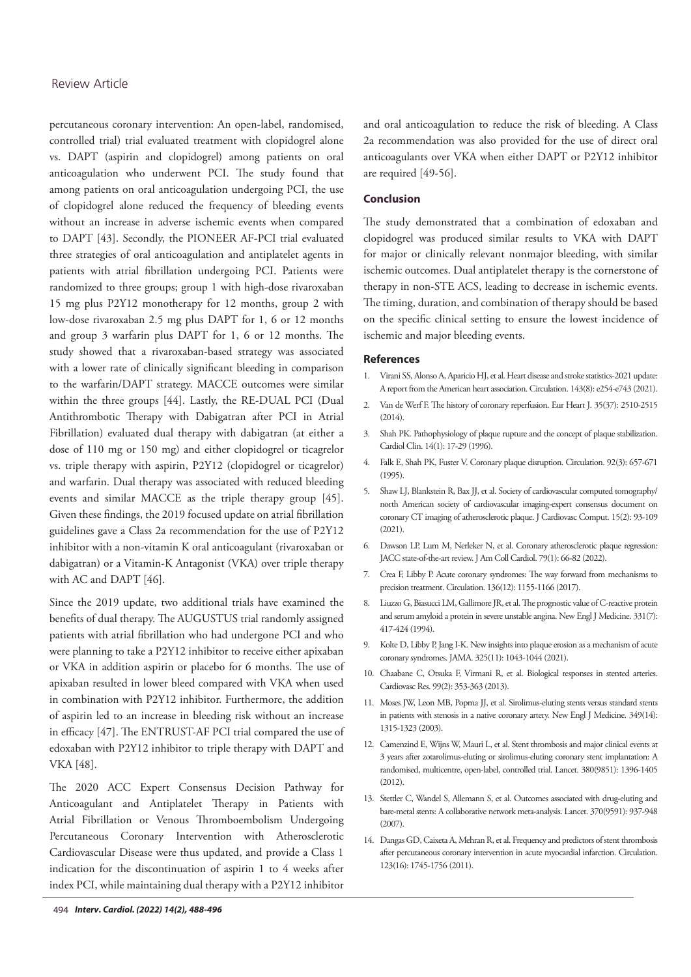percutaneous coronary intervention: An open-label, randomised, controlled trial) trial evaluated treatment with clopidogrel alone vs. DAPT (aspirin and clopidogrel) among patients on oral anticoagulation who underwent PCI. The study found that among patients on oral anticoagulation undergoing PCI, the use of clopidogrel alone reduced the frequency of bleeding events without an increase in adverse ischemic events when compared to DAPT [43]. Secondly, the PIONEER AF-PCI trial evaluated three strategies of oral anticoagulation and antiplatelet agents in patients with atrial fibrillation undergoing PCI. Patients were randomized to three groups; group 1 with high-dose rivaroxaban 15 mg plus P2Y12 monotherapy for 12 months, group 2 with low-dose rivaroxaban 2.5 mg plus DAPT for 1, 6 or 12 months and group 3 warfarin plus DAPT for 1, 6 or 12 months. The study showed that a rivaroxaban-based strategy was associated with a lower rate of clinically significant bleeding in comparison to the warfarin/DAPT strategy. MACCE outcomes were similar within the three groups [44]. Lastly, the RE-DUAL PCI (Dual Antithrombotic Therapy with Dabigatran after PCI in Atrial Fibrillation) evaluated dual therapy with dabigatran (at either a dose of 110 mg or 150 mg) and either clopidogrel or ticagrelor vs. triple therapy with aspirin, P2Y12 (clopidogrel or ticagrelor) and warfarin. Dual therapy was associated with reduced bleeding events and similar MACCE as the triple therapy group [45]. Given these findings, the 2019 focused update on atrial fibrillation guidelines gave a Class 2a recommendation for the use of P2Y12 inhibitor with a non-vitamin K oral anticoagulant (rivaroxaban or dabigatran) or a Vitamin-K Antagonist (VKA) over triple therapy with AC and DAPT [46].

Since the 2019 update, two additional trials have examined the benefits of dual therapy. The AUGUSTUS trial randomly assigned patients with atrial fibrillation who had undergone PCI and who were planning to take a P2Y12 inhibitor to receive either apixaban or VKA in addition aspirin or placebo for 6 months. The use of apixaban resulted in lower bleed compared with VKA when used in combination with P2Y12 inhibitor. Furthermore, the addition of aspirin led to an increase in bleeding risk without an increase in efficacy [47]. The ENTRUST-AF PCI trial compared the use of edoxaban with P2Y12 inhibitor to triple therapy with DAPT and VKA [48].

The 2020 ACC Expert Consensus Decision Pathway for Anticoagulant and Antiplatelet Therapy in Patients with Atrial Fibrillation or Venous Thromboembolism Undergoing Percutaneous Coronary Intervention with Atherosclerotic Cardiovascular Disease were thus updated, and provide a Class 1 indication for the discontinuation of aspirin 1 to 4 weeks after index PCI, while maintaining dual therapy with a P2Y12 inhibitor

### **Conclusion**

The study demonstrated that a combination of edoxaban and clopidogrel was produced similar results to VKA with DAPT for major or clinically relevant nonmajor bleeding, with similar ischemic outcomes. Dual antiplatelet therapy is the cornerstone of therapy in non-STE ACS, leading to decrease in ischemic events. The timing, duration, and combination of therapy should be based on the specific clinical setting to ensure the lowest incidence of ischemic and major bleeding events.

#### **References**

- 1. Virani SS, Alonso A, Aparicio HJ, et al. [Heart disease and stroke statistics-2021 update:](https://www.ahajournals.org/doi/10.1161/CIR.0000000000000950) [A report from the American heart association.](https://www.ahajournals.org/doi/10.1161/CIR.0000000000000950) Circulation. 143(8): e254-e743 (2021).
- 2. Van de Werf F. [The history of coronary reperfusion.](https://academic.oup.com/eurheartj/article/35/37/2510/580959?login=false) Eur Heart J. 35(37): 2510-2515  $(2014)$
- 3. Shah PK. [Pathophysiology of plaque rupture and the concept of plaque stabilization.](https://www.sciencedirect.com/science/article/abs/pii/S0733865105702587?via%3Dihub) Cardiol Clin. 14(1): 17-29 (1996).
- 4. Falk E, Shah PK, Fuster V. [Coronary plaque disruption.](https://www.ahajournals.org/doi/10.1161/01.CIR.92.3.657) Circulation. 92(3): 657-671 (1995).
- 5. Shaw LJ, Blankstein R, Bax JJ, et al. [Society of cardiovascular computed tomography/](https://www.sciencedirect.com/science/article/abs/pii/S1934592520304743?via%3Dihub) [north American society of cardiovascular imaging-expert consensus document on](https://www.sciencedirect.com/science/article/abs/pii/S1934592520304743?via%3Dihub) [coronary CT imaging of atherosclerotic plaque.](https://www.sciencedirect.com/science/article/abs/pii/S1934592520304743?via%3Dihub) J Cardiovasc Comput. 15(2): 93-109 (2021).
- 6. Dawson LP, Lum M, Nerleker N, et al. [Coronary atherosclerotic plaque regression:](https://www.sciencedirect.com/science/article/abs/pii/S0735109721080840?via%3Dihub) [JACC state-of-the-art review. J](https://www.sciencedirect.com/science/article/abs/pii/S0735109721080840?via%3Dihub) Am Coll Cardiol. 79(1): 66-82 (2022).
- 7. Crea F, Libby P. [Acute coronary syndromes: The way forward from mechanisms to](https://www.ahajournals.org/doi/10.1161/CIRCULATIONAHA.117.029870) [precision treatment](https://www.ahajournals.org/doi/10.1161/CIRCULATIONAHA.117.029870). Circulation. 136(12): 1155-1166 (2017).
- 8. Liuzzo G, Biasucci LM, Gallimore JR, et al. [The prognostic value of C-reactive protein](https://www.nejm.org/doi/full/10.1056/NEJM199408183310701) [and serum amyloid a protein in severe unstable angina. N](https://www.nejm.org/doi/full/10.1056/NEJM199408183310701)ew Engl J Medicine. 331(7): 417-424 (1994).
- 9. Kolte D, Libby P, Jang I-K. [New insights into plaque erosion as a mechanism of acute](https://jamanetwork.com/journals/jama/article-abstract/2776938)  [coronary syndromes.](https://jamanetwork.com/journals/jama/article-abstract/2776938) JAMA. 325(11): 1043-1044 (2021).
- 10. Chaabane C, Otsuka F, Virmani R, et al. [Biological responses in stented arteries.](https://academic.oup.com/cardiovascres/article/99/2/353/347941?login=false) Cardiovasc Res. 99(2): 353-363 (2013).
- 11. Moses JW, Leon MB, Popma JJ, et al. [Sirolimus-eluting stents versus standard stents](https://www.nejm.org/doi/full/10.1056/NEJMoa035071) [in patients with stenosis in a native coronary artery.](https://www.nejm.org/doi/full/10.1056/NEJMoa035071) New Engl J Medicine. 349(14): 1315-1323 (2003).
- 12. Camenzind E, Wijns W, Mauri L, et al. [Stent thrombosis and major clinical events at](https://www.sciencedirect.com/science/article/abs/pii/S0140673612613361?via%3Dihub)  [3 years after zotarolimus-eluting or sirolimus-eluting coronary stent implantation: A](https://www.sciencedirect.com/science/article/abs/pii/S0140673612613361?via%3Dihub) [randomised, multicentre, open-label, controlled trial.](https://www.sciencedirect.com/science/article/abs/pii/S0140673612613361?via%3Dihub) Lancet. 380(9851): 1396-1405 (2012).
- 13. Stettler C, Wandel S, Allemann S, et al. [Outcomes associated with drug-eluting and](https://www.sciencedirect.com/science/article/abs/pii/S0140673607614445?via%3Dihub) [bare-metal stents: A collaborative network meta-analysis.](https://www.sciencedirect.com/science/article/abs/pii/S0140673607614445?via%3Dihub) Lancet. 370(9591): 937-948 (2007).
- 14. Dangas GD, Caixeta A, Mehran R, et al. [Frequency and predictors of stent thrombosis](https://www.ahajournals.org/doi/10.1161/CIRCULATIONAHA.110.981688)  [after percutaneous coronary intervention in acute myocardial infarction.](https://www.ahajournals.org/doi/10.1161/CIRCULATIONAHA.110.981688) Circulation. 123(16): 1745-1756 (2011).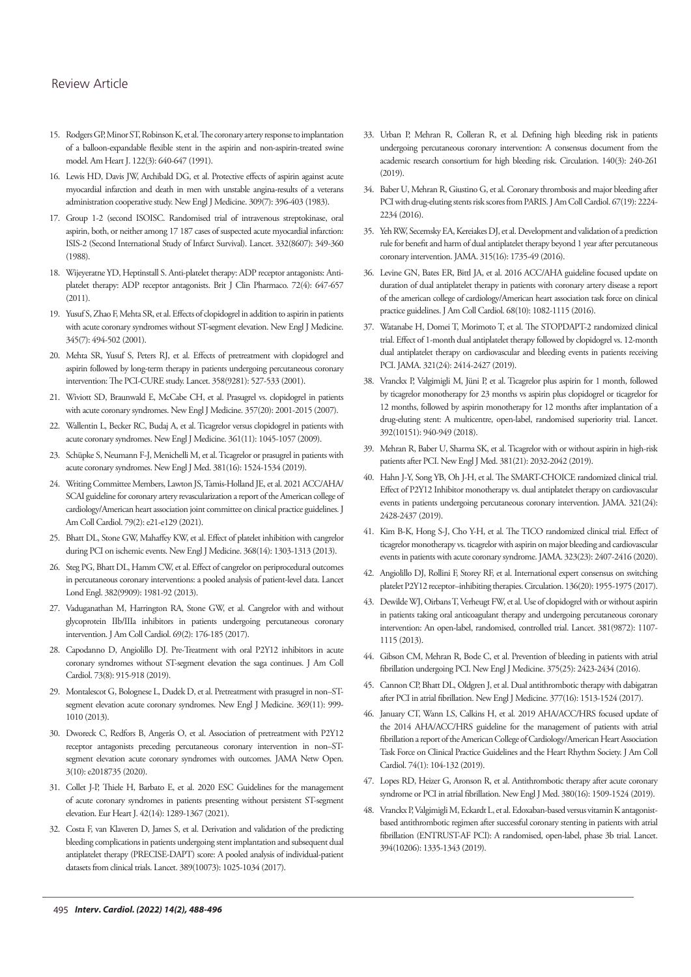- 15. Rodgers GP, Minor ST, Robinson K, et al. The coronary artery response to implantation [of a balloon-expandable flexible stent in the aspirin and non-aspirin-treated swine](https://www.sciencedirect.com/science/article/abs/pii/000287039190506D?via%3Dihub) [model. A](https://www.sciencedirect.com/science/article/abs/pii/000287039190506D?via%3Dihub)m Heart J. 122(3): 640-647 (1991).
- 16. Lewis HD, Davis JW, Archibald DG, et al. [Protective effects of aspirin against acute](https://www.nejm.org/doi/full/10.1056/NEJM198308183090703) [myocardial infarction and death in men with unstable angina-results of a veterans](https://www.nejm.org/doi/full/10.1056/NEJM198308183090703) [administration cooperative study.](https://www.nejm.org/doi/full/10.1056/NEJM198308183090703) New Engl J Medicine. 309(7): 396-403 (1983).
- 17. Group 1-2 (second ISOISC. Randomised trial of intravenous streptokinase, oral aspirin, both, or neither among 17 187 cases of suspected acute myocardial infarction: ISIS-2 (Second International Study of Infarct Survival). Lancet. 332(8607): 349-360 (1988).
- 18. Wijeyeratne YD, Heptinstall S. [Anti-platelet therapy: ADP receptor antagonists: Anti](https://bpspubs.onlinelibrary.wiley.com/doi/10.1111/j.1365-2125.2011.03999.x)[platelet therapy: ADP receptor antagonists. B](https://bpspubs.onlinelibrary.wiley.com/doi/10.1111/j.1365-2125.2011.03999.x)rit J Clin Pharmaco. 72(4): 647-657  $(2011)$
- 19. Yusuf S, Zhao F, Mehta SR, et al. [Effects of clopidogrel in addition to aspirin in patients](https://www.nejm.org/doi/full/10.1056/NEJMoa010746) [with acute coronary syndromes without ST-segment elevation.](https://www.nejm.org/doi/full/10.1056/NEJMoa010746) New Engl J Medicine. 345(7): 494-502 (2001).
- 20. Mehta SR, Yusuf S, Peters RJ, et al. [Effects of pretreatment with clopidogrel and](https://www.thelancet.com/journals/lancet/article/PIIS0140-6736(01)05701-4/fulltext) [aspirin followed by long-term therapy in patients undergoing percutaneous coronary](https://www.thelancet.com/journals/lancet/article/PIIS0140-6736(01)05701-4/fulltext) [intervention: The PCI-CURE study.](https://www.thelancet.com/journals/lancet/article/PIIS0140-6736(01)05701-4/fulltext) Lancet. 358(9281): 527-533 (2001).
- 21. Wiviott SD, Braunwald E, McCabe CH, et al. [Prasugrel vs. clopidogrel in patients](https://www.nejm.org/doi/full/10.1056/NEJMoa0706482) [with acute coronary syndromes.](https://www.nejm.org/doi/full/10.1056/NEJMoa0706482) New Engl J Medicine. 357(20): 2001-2015 (2007).
- 22. Wallentin L, Becker RC, Budaj A, et al. [Ticagrelor versus clopidogrel in patients with](https://www.nejm.org/doi/full/10.1056/NEJMoa0904327) [acute coronary syndromes.](https://www.nejm.org/doi/full/10.1056/NEJMoa0904327) New Engl J Medicine. 361(11): 1045-1057 (2009).
- 23. Schüpke S, Neumann F-J, Menichelli M, et al. [Ticagrelor or prasugrel in patients with](https://www.nejm.org/doi/10.1056/NEJMoa1908973) [acute coronary syndromes.](https://www.nejm.org/doi/10.1056/NEJMoa1908973) New Engl J Med. 381(16): 1524-1534 (2019).
- 24. Writing Committee Members, Lawton JS, Tamis-Holland JE, et al. [2021 ACC/AHA/](https://www.sciencedirect.com/science/article/pii/S0735109721061581?via%3Dihub) [SCAI guideline for coronary artery revascularization a report of the American college of](https://www.sciencedirect.com/science/article/pii/S0735109721061581?via%3Dihub) [cardiology/American heart association joint committee on clinical practice guidelines.](https://www.sciencedirect.com/science/article/pii/S0735109721061581?via%3Dihub) J Am Coll Cardiol. 79(2): e21-e129 (2021).
- 25. Bhatt DL, Stone GW, Mahaffey KW, et al. [Effect of platelet inhibition with cangrelor](https://www.nejm.org/doi/10.1056/NEJMoa1300815) [during PCI on ischemic events.](https://www.nejm.org/doi/10.1056/NEJMoa1300815) New Engl J Medicine. 368(14): 1303-1313 (2013).
- 26. Steg PG, Bhatt DL, Hamm CW, et al. [Effect of cangrelor on periprocedural outcomes](https://linkinghub.elsevier.com/retrieve/pii/S0140673613616153) [in percutaneous coronary interventions: a pooled analysis of patient-level data.](https://linkinghub.elsevier.com/retrieve/pii/S0140673613616153) Lancet Lond Engl. 382(9909): 1981-92 (2013).
- 27. Vaduganathan M, Harrington RA, Stone GW, et al. [Cangrelor with and without](https://www.sciencedirect.com/science/article/pii/S0735109716370176?via%3Dihub) [glycoprotein IIb/IIIa inhibitors in patients undergoing percutaneous coronary](https://www.sciencedirect.com/science/article/pii/S0735109716370176?via%3Dihub) [intervention.](https://www.sciencedirect.com/science/article/pii/S0735109716370176?via%3Dihub) J Am Coll Cardiol. 69(2): 176-185 (2017).
- 28. Capodanno D, Angiolillo DJ. [Pre-Treatment with oral P2Y12 inhibitors in acute](https://www.sciencedirect.com/science/article/pii/S0735109719300944?via%3Dihub) [coronary syndromes without ST-segment elevation the saga continues.](https://www.sciencedirect.com/science/article/pii/S0735109719300944?via%3Dihub) J Am Coll Cardiol. 73(8): 915-918 (2019).
- 29. Montalescot G, Bolognese L, Dudek D, et al. [Pretreatment with prasugrel in non–ST](https://www.nejm.org/doi/10.1056/NEJMoa1308075)[segment elevation acute coronary syndromes.](https://www.nejm.org/doi/10.1056/NEJMoa1308075) New Engl J Medicine. 369(11): 999- 1010 (2013).
- 30. Dworeck C, Redfors B, Angerås O, et al. [Association of pretreatment with P2Y12](https://jamanetwork.com/journals/jamanetworkopen/fullarticle/2771118) [receptor antagonists preceding percutaneous coronary intervention in non–ST](https://jamanetwork.com/journals/jamanetworkopen/fullarticle/2771118)[segment elevation acute coronary syndromes with outcomes.](https://jamanetwork.com/journals/jamanetworkopen/fullarticle/2771118) JAMA Netw Open. 3(10): e2018735 (2020).
- 31. Collet J-P, Thiele H, Barbato E, et al. [2020 ESC Guidelines for the management](https://academic.oup.com/eurheartj/article/42/14/1289/5898842?login=false) [of acute coronary syndromes in patients presenting without persistent ST-segment](https://academic.oup.com/eurheartj/article/42/14/1289/5898842?login=false) [elevation. E](https://academic.oup.com/eurheartj/article/42/14/1289/5898842?login=false)ur Heart J. 42(14): 1289-1367 (2021).
- 32. Costa F, van Klaveren D, James S, et al. [Derivation and validation of the predicting](https://www.sciencedirect.com/science/article/abs/pii/S0140673617303975?via%3Dihub) [bleeding complications in patients undergoing stent implantation and subsequent dual](https://www.sciencedirect.com/science/article/abs/pii/S0140673617303975?via%3Dihub) [antiplatelet therapy \(PRECISE-DAPT\) score: A pooled analysis of individual-patient](https://www.sciencedirect.com/science/article/abs/pii/S0140673617303975?via%3Dihub) [datasets from clinical trials. L](https://www.sciencedirect.com/science/article/abs/pii/S0140673617303975?via%3Dihub)ancet. 389(10073): 1025-1034 (2017).
- 33. Urban P, Mehran R, Colleran R, et al. [Defining high bleeding risk in patients](https://academic.oup.com/eurheartj/article/40/31/2632/5492739?login=false) [undergoing percutaneous coronary intervention: A consensus document from the](https://academic.oup.com/eurheartj/article/40/31/2632/5492739?login=false) [academic research consortium for high bleeding risk](https://academic.oup.com/eurheartj/article/40/31/2632/5492739?login=false). Circulation. 140(3): 240-261 (2019).
- 34. Baber U, Mehran R, Giustino G, et al. [Coronary thrombosis and major bleeding after](https://www.sciencedirect.com/science/article/pii/S0735109716015904?via%3Dihub) [PCI with drug-eluting stents risk scores from PARIS.](https://www.sciencedirect.com/science/article/pii/S0735109716015904?via%3Dihub) J Am Coll Cardiol. 67(19): 2224- 2234 (2016).
- 35. Yeh RW, Secemsky EA, Kereiakes DJ, et al. [Development and validation of a prediction](https://jamanetwork.com/journals/jama/fullarticle/2508253)  [rule for benefit and harm of dual antiplatelet therapy beyond 1 year after percutaneous](https://jamanetwork.com/journals/jama/fullarticle/2508253) [coronary intervention.](https://jamanetwork.com/journals/jama/fullarticle/2508253) JAMA. 315(16): 1735-49 (2016).
- 36. Levine GN, Bates ER, Bittl JA, et al. [2016 ACC/AHA guideline focused update on](https://www.sciencedirect.com/science/article/pii/S0735109716016995?via%3Dihub) [duration of dual antiplatelet therapy in patients with coronary artery disease a report](https://www.sciencedirect.com/science/article/pii/S0735109716016995?via%3Dihub) [of the american college of cardiology/American heart association task force on clinical](https://www.sciencedirect.com/science/article/pii/S0735109716016995?via%3Dihub)  [practice guidelines. J](https://www.sciencedirect.com/science/article/pii/S0735109716016995?via%3Dihub) Am Coll Cardiol. 68(10): 1082-1115 (2016).
- 37. Watanabe H, Domei T, Morimoto T, et al. [The STOPDAPT-2 randomized clinical](https://jamanetwork.com/journals/jama/fullarticle/2736563) [trial. Effect of 1-month dual antiplatelet therapy followed by clopidogrel vs. 12-month](https://jamanetwork.com/journals/jama/fullarticle/2736563) [dual antiplatelet therapy on cardiovascular and bleeding events in patients receiving](https://jamanetwork.com/journals/jama/fullarticle/2736563) [PCI. JA](https://jamanetwork.com/journals/jama/fullarticle/2736563)MA. 321(24): 2414-2427 (2019).
- 38. Vranckx P, Valgimigli M, Jüni P, et al. [Ticagrelor plus aspirin for 1 month, followed](https://www.thelancet.com/journals/lancet/article/PIIS0140-6736(18)31858-0/fulltext) [by ticagrelor monotherapy for 23 months vs aspirin plus clopidogrel or ticagrelor for](https://www.thelancet.com/journals/lancet/article/PIIS0140-6736(18)31858-0/fulltext) [12 months, followed by aspirin monotherapy for 12 months after implantation of a](https://www.thelancet.com/journals/lancet/article/PIIS0140-6736(18)31858-0/fulltext) [drug-eluting stent: A multicentre, open-label, randomised superiority trial.](https://www.thelancet.com/journals/lancet/article/PIIS0140-6736(18)31858-0/fulltext) Lancet. 392(10151): 940-949 (2018).
- 39. Mehran R, Baber U, Sharma SK, et al. [Ticagrelor with or without aspirin in high-risk](https://www.nejm.org/doi/10.1056/NEJMoa1908419) [patients after PCI. N](https://www.nejm.org/doi/10.1056/NEJMoa1908419)ew Engl J Med. 381(21): 2032-2042 (2019).
- 40. Hahn J-Y, Song YB, Oh J-H, et al. [The SMART-CHOICE randomized clinical trial.](https://jamanetwork.com/journals/jama/fullarticle/2736564) [Effect of P2Y12 Inhibitor monotherapy vs. dual antiplatelet therapy on cardiovascular](https://jamanetwork.com/journals/jama/fullarticle/2736564)  [events in patients undergoing percutaneous coronary intervention.](https://jamanetwork.com/journals/jama/fullarticle/2736564) JAMA. 321(24): 2428-2437 (2019).
- 41. Kim B-K, Hong S-J, Cho Y-H, et al. [The TICO randomized clinical trial. Effect of](https://jamanetwork.com/journals/jama/fullarticle/2767161) [ticagrelor monotherapy vs. ticagrelor with aspirin on major bleeding and cardiovascular](https://jamanetwork.com/journals/jama/fullarticle/2767161)  [events in patients with acute coronary syndrome](https://jamanetwork.com/journals/jama/fullarticle/2767161). JAMA. 323(23): 2407-2416 (2020).
- 42. Angiolillo DJ, Rollini F, Storey RF, et al[. International expert consensus on switching](https://www.ahajournals.org/doi/10.1161/CIRCULATIONAHA.117.031164) [platelet P2Y12 receptor–inhibiting therapies.](https://www.ahajournals.org/doi/10.1161/CIRCULATIONAHA.117.031164) Circulation. 136(20): 1955-1975 (2017).
- 43. Dewilde WJ, Oirbans T, Verheugt FW, et al. [Use of clopidogrel with or without aspirin](https://www.sciencedirect.com/science/article/abs/pii/S0140673612621771?via%3Dihub)  [in patients taking oral anticoagulant therapy and undergoing percutaneous coronary](https://www.sciencedirect.com/science/article/abs/pii/S0140673612621771?via%3Dihub) [intervention: An open-label, randomised, controlled trial.](https://www.sciencedirect.com/science/article/abs/pii/S0140673612621771?via%3Dihub) Lancet. 381(9872): 1107- 1115 (2013).
- 44. Gibson CM, Mehran R, Bode C, et al. [Prevention of bleeding in patients with atrial](https://www.nejm.org/doi/10.1056/NEJMoa1611594) [fibrillation undergoing PCI.](https://www.nejm.org/doi/10.1056/NEJMoa1611594) New Engl J Medicine. 375(25): 2423-2434 (2016).
- 45. Cannon CP, Bhatt DL, Oldgren J, et al. [Dual antithrombotic therapy with dabigatran](https://www.nejm.org/doi/10.1056/NEJMoa1708454) [after PCI in atrial fibrillation.](https://www.nejm.org/doi/10.1056/NEJMoa1708454) New Engl J Medicine. 377(16): 1513-1524 (2017).
- 46. January CT, Wann LS, Calkins H, et al. [2019 AHA/ACC/HRS focused update of](https://www.ahajournals.org/doi/10.1161/CIR.0000000000000665) [the 2014 AHA/ACC/HRS guideline for the management of patients with atrial](https://www.ahajournals.org/doi/10.1161/CIR.0000000000000665) [fibrillation a report of the American College of Cardiology/American Heart Association](https://www.ahajournals.org/doi/10.1161/CIR.0000000000000665)  [Task Force on Clinical Practice Guidelines and the Heart Rhythm Society.](https://www.ahajournals.org/doi/10.1161/CIR.0000000000000665) J Am Coll Cardiol. 74(1): 104-132 (2019).
- 47. Lopes RD, Heizer G, Aronson R, et al. [Antithrombotic therapy after acute coronary](https://www.nejm.org/doi/10.1056/NEJMoa1817083) [syndrome or PCI in atrial fibrillation. N](https://www.nejm.org/doi/10.1056/NEJMoa1817083)ew Engl J Med. 380(16): 1509-1524 (2019).
- 48. Vranckx P, Valgimigli M, Eckardt L, et al. [Edoxaban-based versus vitamin K antagonist](https://www.sciencedirect.com/science/article/abs/pii/S0140673619318720?via%3Dihub)[based antithrombotic regimen after successful coronary stenting in patients with atrial](https://www.sciencedirect.com/science/article/abs/pii/S0140673619318720?via%3Dihub)  [fibrillation \(ENTRUST-AF PCI\): A randomised, open-label, phase 3b trial.](https://www.sciencedirect.com/science/article/abs/pii/S0140673619318720?via%3Dihub) Lancet. 394(10206): 1335-1343 (2019).